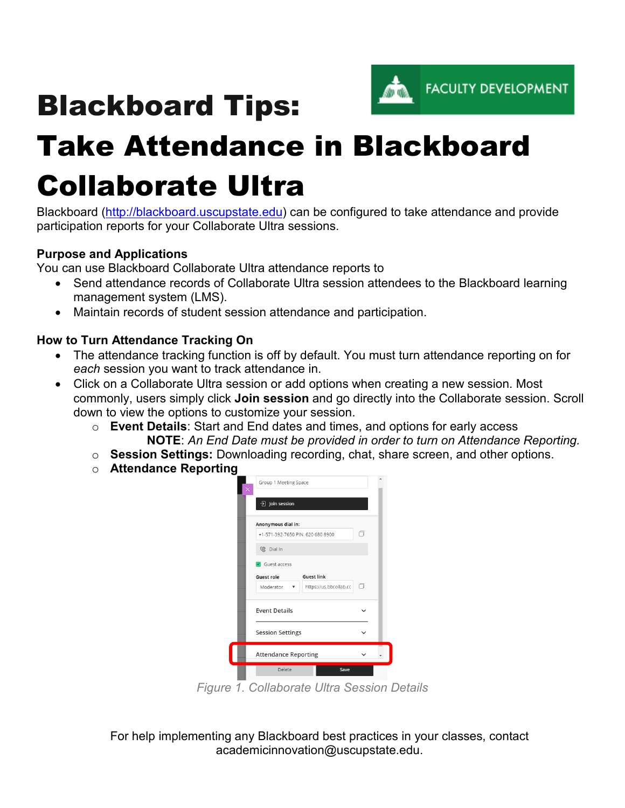

# Blackboard Tips:

# Take Attendance in Blackboard Collaborate Ultra

Blackboard [\(http://blackboard.uscupstate.edu\)](http://blackboard.uscupstate.edu/) can be configured to take attendance and provide participation reports for your Collaborate Ultra sessions.

## **Purpose and Applications**

You can use Blackboard Collaborate Ultra attendance reports to

- Send attendance records of Collaborate Ultra session attendees to the Blackboard learning management system (LMS).
- Maintain records of student session attendance and participation.

#### **How to Turn Attendance Tracking On**

- The attendance tracking function is off by default. You must turn attendance reporting on for *each* session you want to track attendance in.
- Click on a Collaborate Ultra session or add options when creating a new session. Most commonly, users simply click **Join session** and go directly into the Collaborate session. Scroll down to view the options to customize your session.
	- o **Event Details**: Start and End dates and times, and options for early access **NOTE**: *An End Date must be provided in order to turn on Attendance Reporting.*
	- o **Session Settings:** Downloading recording, chat, share screen, and other options.
	- o **Attendance Reporting**



*Figure 1. Collaborate Ultra Session Details*

For help implementing any Blackboard best practices in your classes, contact academicinnovation@uscupstate.edu.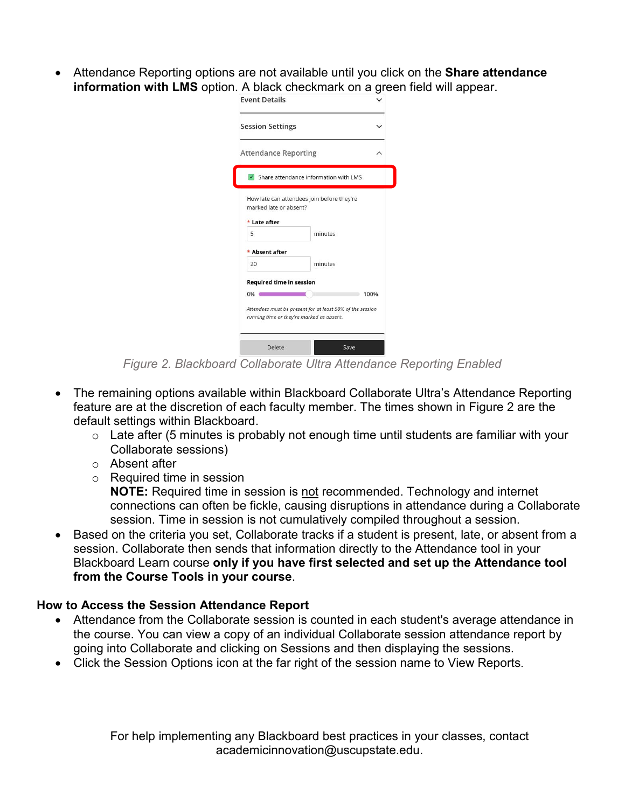• Attendance Reporting options are not available until you click on the **Share attendance information with LMS** option. A black checkmark on a green field will appear.

| <b>Session Settings</b>         |                                                                                                        |      |
|---------------------------------|--------------------------------------------------------------------------------------------------------|------|
| <b>Attendance Reporting</b>     |                                                                                                        |      |
|                                 | Share attendance information with LMS                                                                  |      |
| marked late or absent?          | How late can attendees join before they're                                                             |      |
| * Late after                    |                                                                                                        |      |
| 5                               | minutes                                                                                                |      |
| * Absent after                  |                                                                                                        |      |
| 20                              | minutes                                                                                                |      |
| <b>Required time in session</b> |                                                                                                        |      |
| 0%                              |                                                                                                        | 100% |
|                                 | Attendees must be present for at least 50% of the session<br>running time or they're marked as absent. |      |
|                                 |                                                                                                        |      |

*Figure 2. Blackboard Collaborate Ultra Attendance Reporting Enabled*

- The remaining options available within Blackboard Collaborate Ultra's Attendance Reporting feature are at the discretion of each faculty member. The times shown in Figure 2 are the default settings within Blackboard.
	- $\circ$  Late after (5 minutes is probably not enough time until students are familiar with your Collaborate sessions)
	- o Absent after
	- o Required time in session

**NOTE:** Required time in session is not recommended. Technology and internet connections can often be fickle, causing disruptions in attendance during a Collaborate session. Time in session is not cumulatively compiled throughout a session.

• Based on the criteria you set, Collaborate tracks if a student is present, late, or absent from a session. Collaborate then sends that information directly to the Attendance tool in your Blackboard Learn course **only if you have first selected and set up the Attendance tool from the Course Tools in your course**.

## **How to Access the Session Attendance Report**

- Attendance from the Collaborate session is counted in each student's average attendance in the course. You can view a copy of an individual Collaborate session attendance report by going into Collaborate and clicking on Sessions and then displaying the sessions.
- Click the Session Options icon at the far right of the session name to View Reports.

For help implementing any Blackboard best practices in your classes, contact academicinnovation@uscupstate.edu.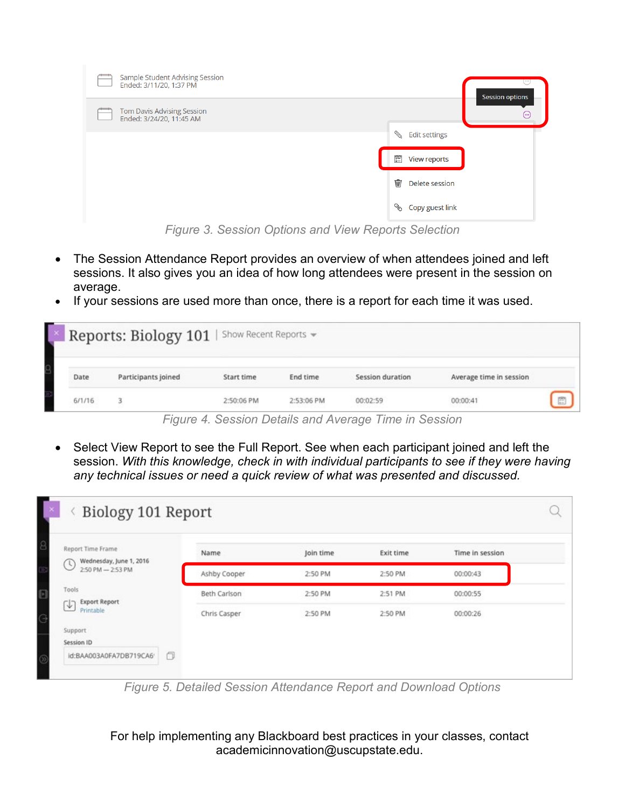| Sample Student Advising Session<br>Ended: 3/11/20, 1:37 PM    | $-0.001$<br>Session options        |
|---------------------------------------------------------------|------------------------------------|
| <b>Tom Davis Advising Session</b><br>Ended: 3/24/20, 11:45 AM | $\cdots$                           |
|                                                               | ⇘<br><b>Edit settings</b>          |
|                                                               | 覽<br>View reports                  |
|                                                               | 峏<br>Delete session                |
|                                                               | co <sup>p</sup><br>Copy guest link |

*Figure 3. Session Options and View Reports Selection*

- The Session Attendance Report provides an overview of when attendees joined and left sessions. It also gives you an idea of how long attendees were present in the session on average.
- If your sessions are used more than once, there is a report for each time it was used.

|        | Reports: Biology 101   Show Recent Reports - |            |            |                  |                         |   |
|--------|----------------------------------------------|------------|------------|------------------|-------------------------|---|
| Date   | Participants joined                          | Start time | End time   | Session duration | Average time in session |   |
| 6/1/16 |                                              | 2:50:06 PM | 2:53:06 PM | 00:02:59         | 00:00:41                | 眉 |

*Figure 4. Session Details and Average Time in Session*

• Select View Report to see the Full Report. See when each participant joined and left the session. *With this knowledge, check in with individual participants to see if they were having any technical issues or need a quick review of what was presented and discussed.*

| Report Time Frame<br>Wednesday, June 1, 2016 | Name         | Join time | Exit time | Time in session |  |
|----------------------------------------------|--------------|-----------|-----------|-----------------|--|
| O<br>2:50 PM - 2:53 PM                       | Ashby Cooper | 2:50 PM   | 2:50 PM   | 00:00:43        |  |
| Tools                                        | Beth Carlson | 2:50 PM   | 2:51 PM   | 00:00:55        |  |
| <b>Export Report</b><br>હ∋<br>Printable      | Chris Casper | 2:50 PM   | 2:50 PM   | 00:00:26        |  |
| Support                                      |              |           |           |                 |  |

*Figure 5. Detailed Session Attendance Report and Download Options*

For help implementing any Blackboard best practices in your classes, contact academicinnovation@uscupstate.edu.